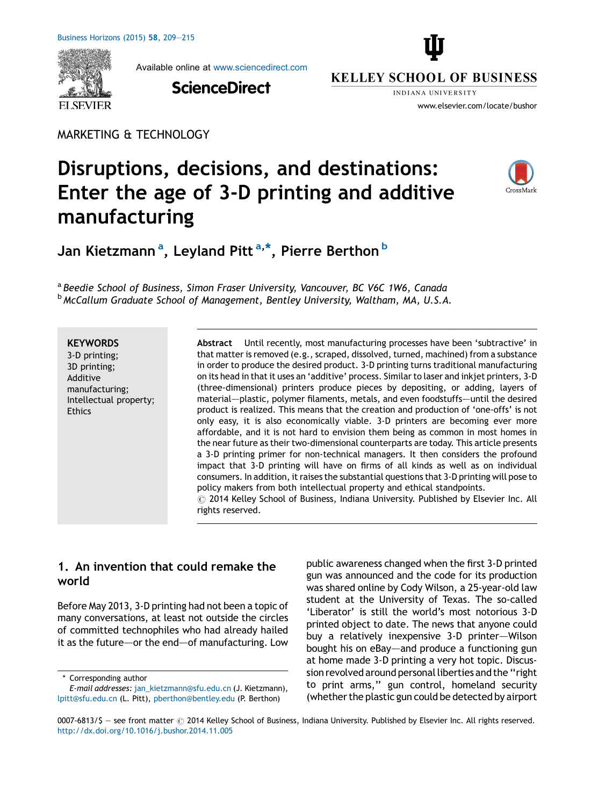

Available online at [www.sciencedirect.com](http://www.sciencedirect.com/science/journal/00076813)

**ScienceDirect** 



**KELLEY SCHOOL OF BUSINESS** INDIANA IINIVERSITY

www.elsevier.com/locate/bushor

MARKETING & TECHNOLOGY

# Disruptions, decisions, and destinations: Enter the age of 3-D printing and additive manufacturing



Jan Kietzmann<sup>a</sup>, Leyland Pitt<sup>a,\*</sup>, Pierre Berthon<sup>b</sup>

<sup>a</sup> Beedie School of Business, Simon Fraser University, Vancouver, BC V6C 1W6, Canada <sup>b</sup> McCallum Graduate School of Management, Bentley University, Waltham, MA, U.S.A.

#### **KEYWORDS**

3-D printing; 3D printing; Additive manufacturing; Intellectual property; Ethics

Abstract Until recently, most manufacturing processes have been 'subtractive' in that matter is removed (e.g., scraped, dissolved, turned, machined) from a substance in order to produce the desired product. 3-D printing turns traditional manufacturing on its head in that it uses an 'additive' process. Similar to laser and inkjet printers, 3-D (three-dimensional) printers produce pieces by depositing, or adding, layers of material–—plastic, polymer filaments, metals, and even foodstuffs–—until the desired product is realized. This means that the creation and production of 'one-offs' is not only easy, it is also economically viable. 3-D printers are becoming ever more affordable, and it is not hard to envision them being as common in most homes in the near future as their two-dimensional counterparts are today. This article presents a 3-D printing primer for non-technical managers. It then considers the profound impact that 3-D printing will have on firms of all kinds as well as on individual consumers. In addition, it raises the substantial questions that 3-D printing will pose to policy makers from both intellectual property and ethical standpoints.  $\odot$  2014 Kelley School of Business, Indiana University. Published by Elsevier Inc. All rights reserved.

# 1. An invention that could remake the world

Before May 2013, 3-D printing had not been a topic of many conversations, at least not outside the circles of committed technophiles who had already hailed it as the future–—or the end–—of manufacturing. Low

\* Corresponding author

public awareness changed when the first 3-D printed gun was announced and the code for its production was shared online by Cody Wilson, a 25-year-old law student at the University of Texas. The so-called 'Liberator' is still the world's most notorious 3-D printed object to date. The news that anyone could buy a relatively inexpensive 3-D printer–—Wilson bought his on eBay—and produce a functioning gun at home made 3-D printing a very hot topic. Discussion revolved around personal liberties and the "right to print arms,'' gun control, homeland security (whether the plastic gun could be detected by airport

E-mail addresses: [jan\\_kietzmann@sfu.edu.cn](mailto:jan_kietzmann@sfu.edu.cn) (J. Kietzmann), [lpitt@sfu.edu.cn](mailto:lpitt@sfu.edu.cn) (L. Pitt), [pberthon@bentley.edu](mailto:pberthon@bentley.edu) (P. Berthon)

<sup>0007-6813/\$ -</sup> see front matter  $\odot$  2014 Kelley School of Business, Indiana University. Published by Elsevier Inc. All rights reserved. <http://dx.doi.org/10.1016/j.bushor.2014.11.005>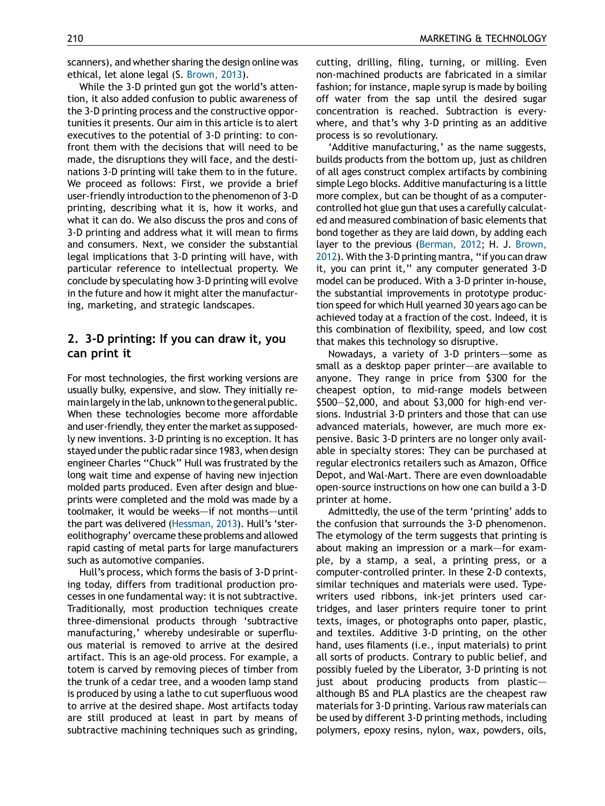scanners), and whether sharing the design online was ethical, let alone legal (S. [Brown,](#page-5-0) 2013).

While the 3-D printed gun got the world's attention, it also added confusion to public awareness of the 3-D printing process and the constructive opportunities it presents. Our aim in this article is to alert executives to the potential of 3-D printing: to confront them with the decisions that will need to be made, the disruptions they will face, and the destinations 3-D printing will take them to in the future. We proceed as follows: First, we provide a brief user-friendly introduction to the phenomenon of 3-D printing, describing what it is, how it works, and what it can do. We also discuss the pros and cons of 3-D printing and address what it will mean to firms and consumers. Next, we consider the substantial legal implications that 3-D printing will have, with particular reference to intellectual property. We conclude by speculating how 3-D printing will evolve in the future and how it might alter the manufacturing, marketing, and strategic landscapes.

## 2. 3-D printing: If you can draw it, you can print it

For most technologies, the first working versions are usually bulky, expensive, and slow. They initially remain largely in the lab, unknown to the general public. When these technologies become more affordable and user-friendly, they enter the market as supposedly new inventions. 3-D printing is no exception. It has stayed under the public radar since 1983, when design engineer Charles ''Chuck'' Hull was frustrated by the long wait time and expense of having new injection molded parts produced. Even after design and blueprints were completed and the mold was made by a toolmaker, it would be weeks-if not months-until the part was delivered [\(Hessman,](#page-5-0) 2013). Hull's 'stereolithography' overcame these problems and allowed rapid casting of metal parts for large manufacturers such as automotive companies.

Hull's process, which forms the basis of 3-D printing today, differs from traditional production processes in one fundamental way: it is not subtractive. Traditionally, most production techniques create three-dimensional products through 'subtractive manufacturing,' whereby undesirable or superfluous material is removed to arrive at the desired artifact. This is an age-old process. For example, a totem is carved by removing pieces of timber from the trunk of a cedar tree, and a wooden lamp stand is produced by using a lathe to cut superfluous wood to arrive at the desired shape. Most artifacts today are still produced at least in part by means of subtractive machining techniques such as grinding,

cutting, drilling, filing, turning, or milling. Even non-machined products are fabricated in a similar fashion; for instance, maple syrup is made by boiling off water from the sap until the desired sugar concentration is reached. Subtraction is everywhere, and that's why 3-D printing as an additive process is so revolutionary.

'Additive manufacturing,' as the name suggests, builds products from the bottom up, just as children of all ages construct complex artifacts by combining simple Lego blocks. Additive manufacturing is a little more complex, but can be thought of as a computercontrolled hot glue gun that uses a carefully calculated and measured combination of basic elements that bond together as they are laid down, by adding each layer to the previous [\(Berman,](#page-5-0) 2012; H. J. [Brown,](#page-5-0) [2012\)](#page-5-0). With the 3-D printing mantra, ''if you can draw it, you can print it," any computer generated 3-D model can be produced. With a 3-D printer in-house, the substantial improvements in prototype production speed for which Hull yearned 30 years ago can be achieved today at a fraction of the cost. Indeed, it is this combination of flexibility, speed, and low cost that makes this technology so disruptive.

Nowadays, a variety of 3-D printers–—some as small as a desktop paper printer-are available to anyone. They range in price from \$300 for the cheapest option, to mid-range models between \$500—\$2,000, and about \$3,000 for high-end versions. Industrial 3-D printers and those that can use advanced materials, however, are much more expensive. Basic 3-D printers are no longer only available in specialty stores: They can be purchased at regular electronics retailers such as Amazon, Office Depot, and Wal-Mart. There are even downloadable open-source instructions on how one can build a 3-D printer at home.

Admittedly, the use of the term 'printing' adds to the confusion that surrounds the 3-D phenomenon. The etymology of the term suggests that printing is about making an impression or a mark-for example, by a stamp, a seal, a printing press, or a computer-controlled printer. In these 2-D contexts, similar techniques and materials were used. Typewriters used ribbons, ink-jet printers used cartridges, and laser printers require toner to print texts, images, or photographs onto paper, plastic, and textiles. Additive 3-D printing, on the other hand, uses filaments (i.e., input materials) to print all sorts of products. Contrary to public belief, and possibly fueled by the Liberator, 3-D printing is not just about producing products from plastic $$ although BS and PLA plastics are the cheapest raw materials for 3-D printing. Various raw materials can be used by different 3-D printing methods, including polymers, epoxy resins, nylon, wax, powders, oils,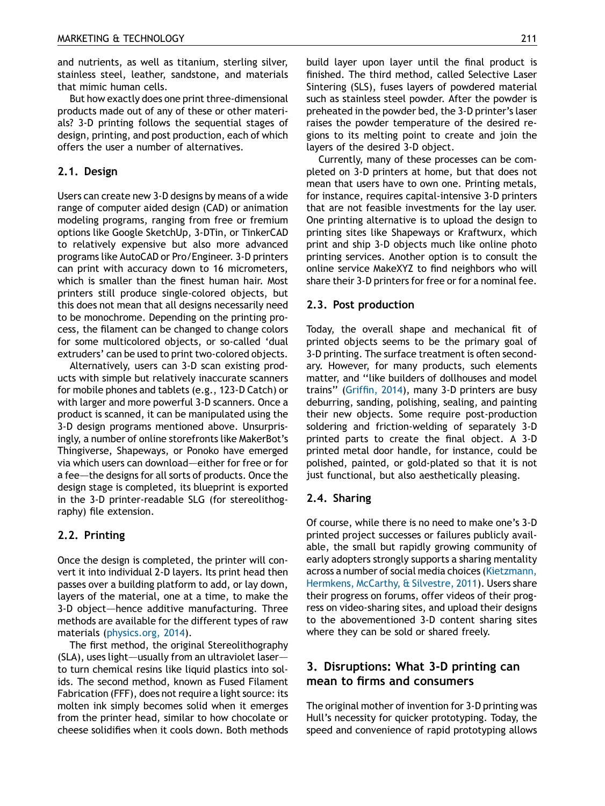and nutrients, as well as titanium, sterling silver, stainless steel, leather, sandstone, and materials that mimic human cells.

But how exactly does one print three-dimensional products made out of any of these or other materials? 3-D printing follows the sequential stages of design, printing, and post production, each of which offers the user a number of alternatives.

### 2.1. Design

Users can create new 3-D designs by means of a wide range of computer aided design (CAD) or animation modeling programs, ranging from free or fremium options like Google SketchUp, 3-DTin, or TinkerCAD to relatively expensive but also more advanced programs like AutoCAD or Pro/Engineer. 3-D printers can print with accuracy down to 16 micrometers, which is smaller than the finest human hair. Most printers still produce single-colored objects, but this does not mean that all designs necessarily need to be monochrome. Depending on the printing process, the filament can be changed to change colors for some multicolored objects, or so-called 'dual extruders' can be used to print two-colored objects.

Alternatively, users can 3-D scan existing products with simple but relatively inaccurate scanners for mobile phones and tablets (e.g., 123-D Catch) or with larger and more powerful 3-D scanners. Once a product is scanned, it can be manipulated using the 3-D design programs mentioned above. Unsurprisingly, a number of online storefronts like MakerBot's Thingiverse, Shapeways, or Ponoko have emerged via which users can download-either for free or for a fee–—the designs for all sorts of products. Once the design stage is completed, its blueprint is exported in the 3-D printer-readable SLG (for stereolithography) file extension.

## 2.2. Printing

Once the design is completed, the printer will convert it into individual 2-D layers. Its print head then passes over a building platform to add, or lay down, layers of the material, one at a time, to make the 3-D object–—hence additive manufacturing. Three methods are available for the different types of raw materials [\(physics.org,](#page-6-0) 2014).

The first method, the original Stereolithography (SLA), uses light—usually from an ultraviolet laser to turn chemical resins like liquid plastics into solids. The second method, known as Fused Filament Fabrication (FFF), does not require a light source: its molten ink simply becomes solid when it emerges from the printer head, similar to how chocolate or cheese solidifies when it cools down. Both methods build layer upon layer until the final product is finished. The third method, called Selective Laser Sintering (SLS), fuses layers of powdered material such as stainless steel powder. After the powder is preheated in the powder bed, the 3-D printer's laser raises the powder temperature of the desired regions to its melting point to create and join the layers of the desired 3-D object.

Currently, many of these processes can be completed on 3-D printers at home, but that does not mean that users have to own one. Printing metals, for instance, requires capital-intensive 3-D printers that are not feasible investments for the lay user. One printing alternative is to upload the design to printing sites like Shapeways or Kraftwurx, which print and ship 3-D objects much like online photo printing services. Another option is to consult the online service MakeXYZ to find neighbors who will share their 3-D printers for free or for a nominal fee.

#### 2.3. Post production

Today, the overall shape and mechanical fit of printed objects seems to be the primary goal of 3-D printing. The surface treatment is often secondary. However, for many products, such elements matter, and ''like builders of dollhouses and model trains'' [\(Griffin,](#page-5-0) 2014), many 3-D printers are busy deburring, sanding, polishing, sealing, and painting their new objects. Some require post-production soldering and friction-welding of separately 3-D printed parts to create the final object. A 3-D printed metal door handle, for instance, could be polished, painted, or gold-plated so that it is not just functional, but also aesthetically pleasing.

#### 2.4. Sharing

Of course, while there is no need to make one's 3-D printed project successes or failures publicly available, the small but rapidly growing community of early adopters strongly supports a sharing mentality across a number of social media choices ([Kietzmann,](#page-5-0) [Hermkens,](#page-5-0) McCarthy, & Silvestre, 2011). Users share their progress on forums, offer videos of their progress on video-sharing sites, and upload their designs to the abovementioned 3-D content sharing sites where they can be sold or shared freely.

## 3. Disruptions: What 3-D printing can mean to firms and consumers

The original mother of invention for 3-D printing was Hull's necessity for quicker prototyping. Today, the speed and convenience of rapid prototyping allows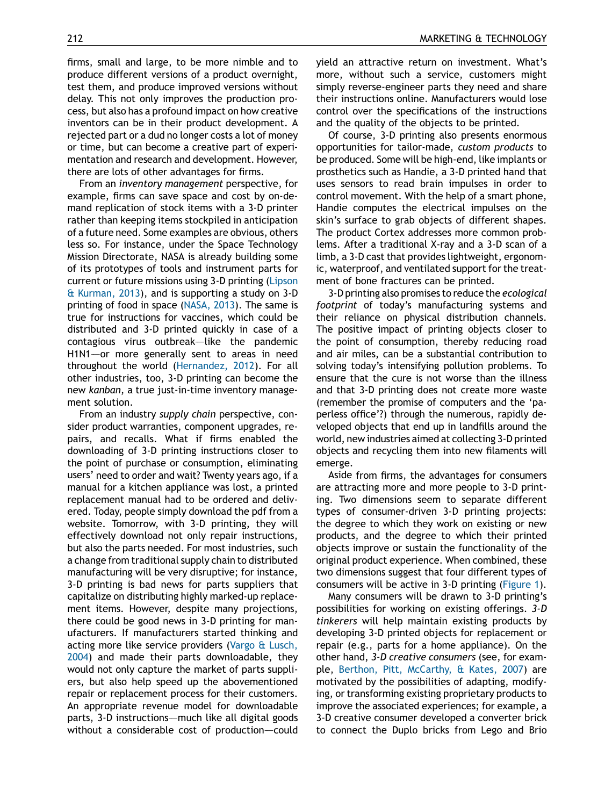firms, small and large, to be more nimble and to produce different versions of a product overnight, test them, and produce improved versions without delay. This not only improves the production process, but also has a profound impact on how creative inventors can be in their product development. A rejected part or a dud no longer costs a lot of money or time, but can become a creative part of experimentation and research and development. However, there are lots of other advantages for firms.

From an inventory management perspective, for example, firms can save space and cost by on-demand replication of stock items with a 3-D printer rather than keeping items stockpiled in anticipation of a future need. Some examples are obvious, others less so. For instance, under the Space Technology Mission Directorate, NASA is already building some of its prototypes of tools and instrument parts for current or future missions using 3-D printing [\(Lipson](#page-6-0) & [Kurman,](#page-6-0) 2013), and is supporting a study on 3-D printing of food in space [\(NASA,](#page-6-0) 2013). The same is true for instructions for vaccines, which could be distributed and 3-D printed quickly in case of a contagious virus outbreak-like the pandemic H1N1–—or more generally sent to areas in need throughout the world ([Hernandez,](#page-5-0) 2012). For all other industries, too, 3-D printing can become the new kanban, a true just-in-time inventory management solution.

From an industry supply chain perspective, consider product warranties, component upgrades, repairs, and recalls. What if firms enabled the downloading of 3-D printing instructions closer to the point of purchase or consumption, eliminating users' need to order and wait? Twenty years ago, if a manual for a kitchen appliance was lost, a printed replacement manual had to be ordered and delivered. Today, people simply download the pdf from a website. Tomorrow, with 3-D printing, they will effectively download not only repair instructions, but also the parts needed. For most industries, such a change from traditional supply chain to distributed manufacturing will be very disruptive; for instance, 3-D printing is bad news for parts suppliers that capitalize on distributing highly marked-up replacement items. However, despite many projections, there could be good news in 3-D printing for manufacturers. If manufacturers started thinking and acting more like service providers (Vargo & [Lusch,](#page-6-0) [2004](#page-6-0)) and made their parts downloadable, they would not only capture the market of parts suppliers, but also help speed up the abovementioned repair or replacement process for their customers. An appropriate revenue model for downloadable parts, 3-D instructions–—much like all digital goods without a considerable cost of production-could yield an attractive return on investment. What's more, without such a service, customers might simply reverse-engineer parts they need and share their instructions online. Manufacturers would lose control over the specifications of the instructions and the quality of the objects to be printed.

Of course, 3-D printing also presents enormous opportunities for tailor-made, custom products to be produced. Some will be high-end, like implants or prosthetics such as Handie, a 3-D printed hand that uses sensors to read brain impulses in order to control movement. With the help of a smart phone, Handie computes the electrical impulses on the skin's surface to grab objects of different shapes. The product Cortex addresses more common problems. After a traditional X-ray and a 3-D scan of a limb, a 3-D cast that provides lightweight, ergonomic, waterproof, and ventilated support for the treatment of bone fractures can be printed.

3-D printing also promises to reduce the ecological footprint of today's manufacturing systems and their reliance on physical distribution channels. The positive impact of printing objects closer to the point of consumption, thereby reducing road and air miles, can be a substantial contribution to solving today's intensifying pollution problems. To ensure that the cure is not worse than the illness and that 3-D printing does not create more waste (remember the promise of computers and the 'paperless office'?) through the numerous, rapidly developed objects that end up in landfills around the world, new industries aimed at collecting 3-D printed objects and recycling them into new filaments will emerge.

Aside from firms, the advantages for consumers are attracting more and more people to 3-D printing. Two dimensions seem to separate different types of consumer-driven 3-D printing projects: the degree to which they work on existing or new products, and the degree to which their printed objects improve or sustain the functionality of the original product experience. When combined, these two dimensions suggest that four different types of consumers will be active in 3-D printing [\(Figure](#page-4-0) 1).

Many consumers will be drawn to 3-D printing's possibilities for working on existing offerings. 3-D tinkerers will help maintain existing products by developing 3-D printed objects for replacement or repair (e.g., parts for a home appliance). On the other hand, 3-D creative consumers (see, for example, Berthon, Pitt, [McCarthy,](#page-5-0) & Kates, 2007) are motivated by the possibilities of adapting, modifying, or transforming existing proprietary products to improve the associated experiences; for example, a 3-D creative consumer developed a converter brick to connect the Duplo bricks from Lego and Brio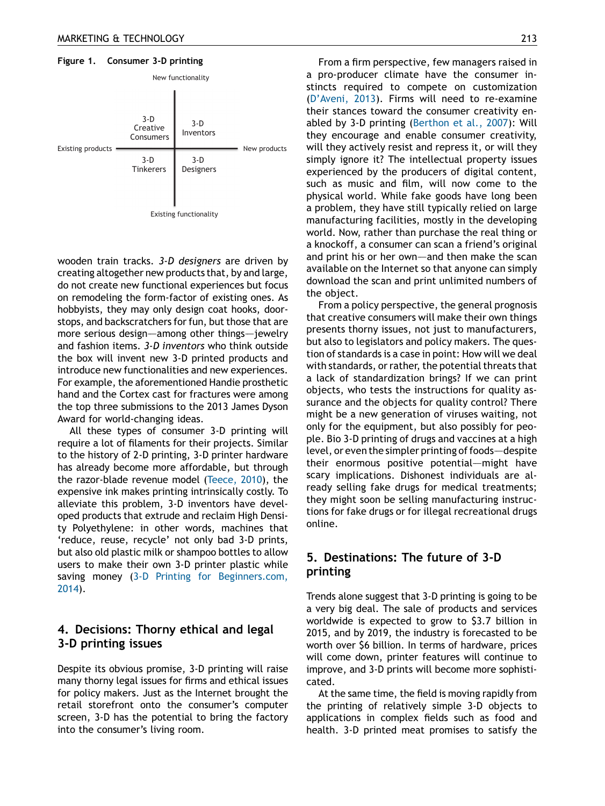<span id="page-4-0"></span>

wooden train tracks. 3-D designers are driven by creating altogether new products that, by and large, do not create new functional experiences but focus on remodeling the form-factor of existing ones. As hobbyists, they may only design coat hooks, doorstops, and backscratchers for fun, but those that are more serious design—among other things—jewelry and fashion items. 3-D inventors who think outside the box will invent new 3-D printed products and introduce new functionalities and new experiences. For example, the aforementioned Handie prosthetic hand and the Cortex cast for fractures were among the top three submissions to the 2013 James Dyson Award for world-changing ideas.

All these types of consumer 3-D printing will require a lot of filaments for their projects. Similar to the history of 2-D printing, 3-D printer hardware has already become more affordable, but through the razor-blade revenue model [\(Teece,](#page-6-0) 2010), the expensive ink makes printing intrinsically costly. To alleviate this problem, 3-D inventors have developed products that extrude and reclaim High Density Polyethylene: in other words, machines that 'reduce, reuse, recycle' not only bad 3-D prints, but also old plastic milk or shampoo bottles to allow users to make their own 3-D printer plastic while saving money (3-D Printing for [Beginners.com,](#page-5-0) [2014](#page-5-0)).

## 4. Decisions: Thorny ethical and legal 3-D printing issues

Despite its obvious promise, 3-D printing will raise many thorny legal issues for firms and ethical issues for policy makers. Just as the Internet brought the retail storefront onto the consumer's computer screen, 3-D has the potential to bring the factory into the consumer's living room.

From a firm perspective, few managers raised in a pro-producer climate have the consumer instincts required to compete on customization ([D'Aveni,](#page-5-0) 2013). Firms will need to re-examine their stances toward the consumer creativity enabled by 3-D printing ([Berthon](#page-5-0) et al., 2007): Will they encourage and enable consumer creativity, will they actively resist and repress it, or will they simply ignore it? The intellectual property issues experienced by the producers of digital content, such as music and film, will now come to the physical world. While fake goods have long been a problem, they have still typically relied on large manufacturing facilities, mostly in the developing world. Now, rather than purchase the real thing or a knockoff, a consumer can scan a friend's original and print his or her own—and then make the scan available on the Internet so that anyone can simply download the scan and print unlimited numbers of the object.

From a policy perspective, the general prognosis that creative consumers will make their own things presents thorny issues, not just to manufacturers, but also to legislators and policy makers. The question of standards is a case in point: How will we deal with standards, or rather, the potential threats that a lack of standardization brings? If we can print objects, who tests the instructions for quality assurance and the objects for quality control? There might be a new generation of viruses waiting, not only for the equipment, but also possibly for people. Bio 3-D printing of drugs and vaccines at a high level, or even the simpler printing of foods—despite their enormous positive potential-might have scary implications. Dishonest individuals are already selling fake drugs for medical treatments; they might soon be selling manufacturing instructions for fake drugs or for illegal recreational drugs online.

# 5. Destinations: The future of 3-D printing

Trends alone suggest that 3-D printing is going to be a very big deal. The sale of products and services worldwide is expected to grow to \$3.7 billion in 2015, and by 2019, the industry is forecasted to be worth over \$6 billion. In terms of hardware, prices will come down, printer features will continue to improve, and 3-D prints will become more sophisticated.

At the same time, the field is moving rapidly from the printing of relatively simple 3-D objects to applications in complex fields such as food and health. 3-D printed meat promises to satisfy the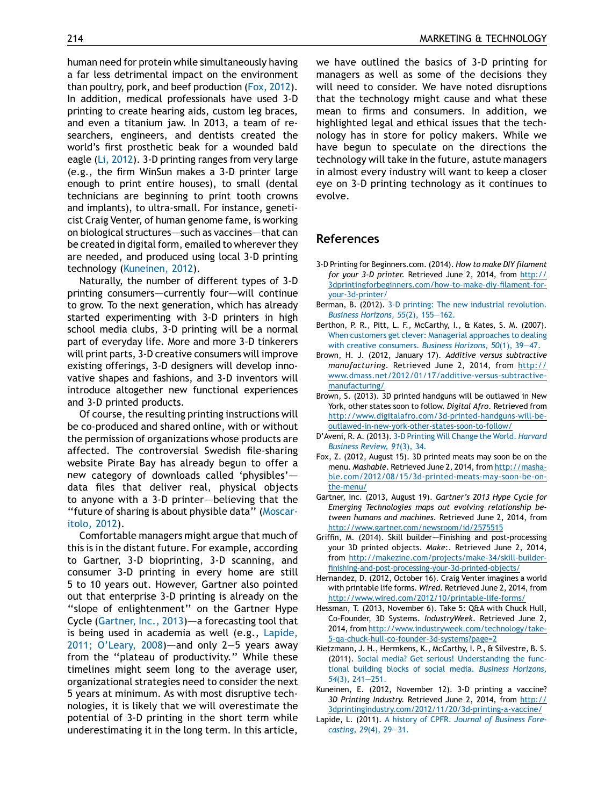human need for protein while simultaneously having a far less detrimental impact on the environment than poultry, pork, and beef production (Fox, 2012). In addition, medical professionals have used 3-D printing to create hearing aids, custom leg braces, and even a titanium jaw. In 2013, a team of researchers, engineers, and dentists created the world's first prosthetic beak for a wounded bald eagle (Li, [2012\)](#page-6-0). 3-D printing ranges from very large (e.g., the firm WinSun makes a 3-D printer large enough to print entire houses), to small (dental technicians are beginning to print tooth crowns and implants), to ultra-small. For instance, geneticist Craig Venter, of human genome fame, is working on biological structures–—such as vaccines–—that can be created in digital form, emailed to wherever they are needed, and produced using local 3-D printing technology (Kuneinen, 2012).

Naturally, the number of different types of 3-D printing consumers--currently four--will continue to grow. To the next generation, which has already started experimenting with 3-D printers in high school media clubs, 3-D printing will be a normal part of everyday life. More and more 3-D tinkerers will print parts, 3-D creative consumers will improve existing offerings, 3-D designers will develop innovative shapes and fashions, and 3-D inventors will introduce altogether new functional experiences and 3-D printed products.

Of course, the resulting printing instructions will be co-produced and shared online, with or without the permission of organizations whose products are affected. The controversial Swedish file-sharing website Pirate Bay has already begun to offer a new category of downloads called 'physibles'– data files that deliver real, physical objects to anyone with a 3-D printer—believing that the ''future of sharing is about physible data'' ([Moscar](#page-6-0)[itolo,](#page-6-0) 2012).

Comfortable managers might argue that much of this is in the distant future. For example, according to Gartner, 3-D bioprinting, 3-D scanning, and consumer 3-D printing in every home are still 5 to 10 years out. However, Gartner also pointed out that enterprise 3-D printing is already on the ''slope of enlightenment'' on the Gartner Hype Cycle (Gartner, Inc., 2013)–—a forecasting tool that is being used in academia as well (e.g., Lapide, 2011; O'Leary, 2008)—and only 2-5 years away from the ''plateau of productivity.'' While these timelines might seem long to the average user, organizational strategies need to consider the next 5 years at minimum. As with most disruptive technologies, it is likely that we will overestimate the potential of 3-D printing in the short term while underestimating it in the long term. In this article,

<span id="page-5-0"></span>214 MARKETING & TECHNOLOGY

we have outlined the basics of 3-D printing for managers as well as some of the decisions they will need to consider. We have noted disruptions that the technology might cause and what these mean to firms and consumers. In addition, we highlighted legal and ethical issues that the technology has in store for policy makers. While we have begun to speculate on the directions the technology will take in the future, astute managers in almost every industry will want to keep a closer eye on 3-D printing technology as it continues to evolve.

#### References

- 3-D Printing for Beginners.com. (2014). How to make DIY filament for your 3-D printer. Retrieved June 2, 2014, from [http://](http://3dprintingforbeginners.com/how-to-make-diy-filament-for-your-3d-printer/) [3dprintingforbeginners.com/how-to-make-diy-filament-for](http://3dprintingforbeginners.com/how-to-make-diy-filament-for-your-3d-printer/)[your-3d-printer/](http://3dprintingforbeginners.com/how-to-make-diy-filament-for-your-3d-printer/)
- Berman, B. (2012). 3-D printing: The new industrial [revolution.](http://refhub.elsevier.com/S0007-6813(14)00160-8/sbref0010) Business [Horizons,](http://refhub.elsevier.com/S0007-6813(14)00160-8/sbref0010) 55(2), 155—162.
- Berthon, P. R., Pitt, L. F., McCarthy, I., & Kates, S. M. (2007). When customers get clever: Managerial [approaches](http://refhub.elsevier.com/S0007-6813(14)00160-8/sbref0015) to dealing with creative [consumers.](http://refhub.elsevier.com/S0007-6813(14)00160-8/sbref0015) Business Horizons, 50(1), 39—47.
- Brown, H. J. (2012, January 17). Additive versus subtractive manufacturing. Retrieved June 2, 2014, from [http://](http://www.dmass.net/2012/01/17/additive-versus-subtractive-manufacturing/) [www.dmass.net/2012/01/17/additive-versus-subtractive](http://www.dmass.net/2012/01/17/additive-versus-subtractive-manufacturing/)[manufacturing/](http://www.dmass.net/2012/01/17/additive-versus-subtractive-manufacturing/)
- Brown, S. (2013). 3D printed handguns will be outlawed in New York, other states soon to follow. Digital Afro. Retrieved from [http://www.digitalafro.com/3d-printed-handguns-will-be](http://www.digitalafro.com/3d-printed-handguns-will-be-outlawed-in-new-york-other-states-soon-to-follow/)[outlawed-in-new-york-other-states-soon-to-follow/](http://www.digitalafro.com/3d-printed-handguns-will-be-outlawed-in-new-york-other-states-soon-to-follow/)
- D'Aveni, R. A. (2013). 3-D Printing Will Change the World. [Harvard](http://refhub.elsevier.com/S0007-6813(14)00160-8/sbref0030) [Business](http://refhub.elsevier.com/S0007-6813(14)00160-8/sbref0030) Review, 91(3), 34.
- Fox, Z. (2012, August 15). 3D printed meats may soon be on the menu. Mashable. Retrieved June 2, 2014, from [http://masha](http://mashable.com/2012/08/15/3d-printed-meats-may-soon-be-on-the-menu/)[ble.com/2012/08/15/3d-printed-meats-may-soon-be-on](http://mashable.com/2012/08/15/3d-printed-meats-may-soon-be-on-the-menu/)[the-menu/](http://mashable.com/2012/08/15/3d-printed-meats-may-soon-be-on-the-menu/)
- Gartner, Inc. (2013, August 19). Gartner's 2013 Hype Cycle for Emerging Technologies maps out evolving relationship between humans and machines. Retrieved June 2, 2014, from <http://www.gartner.com/newsroom/id/2575515>
- Griffin, M. (2014). Skill builder–—Finishing and post-processing your 3D printed objects. Make:. Retrieved June 2, 2014, from [http://makezine.com/projects/make-34/skill-builder](http://makezine.com/projects/make-34/skill-builder-finishing-and-post-processing-your-3d-printed-objects/)[finishing-and-post-processing-your-3d-printed-objects/](http://makezine.com/projects/make-34/skill-builder-finishing-and-post-processing-your-3d-printed-objects/)
- Hernandez, D. (2012, October 16). Craig Venter imagines a world with printable life forms. Wired. Retrieved June 2, 2014, from <http://www.wired.com/2012/10/printable-life-forms/>
- Hessman, T. (2013, November 6). Take 5: Q&A with Chuck Hull, Co-Founder, 3D Systems. IndustryWeek. Retrieved June 2, 2014, from [http://www.industryweek.com/technology/take-](http://www.industryweek.com/technology/take-5-qa-chuck-hull-co-founder-3d-systems?page=2)[5-qa-chuck-hull-co-founder-3d-systems?page=2](http://www.industryweek.com/technology/take-5-qa-chuck-hull-co-founder-3d-systems?page=2)
- Kietzmann, J. H., Hermkens, K., McCarthy, I. P., & Silvestre, B. S. (2011). Social media? Get serious! [Understanding](http://refhub.elsevier.com/S0007-6813(14)00160-8/sbref0060) the functional building blocks of social media. Business [Horizons,](http://refhub.elsevier.com/S0007-6813(14)00160-8/sbref0060) 54(3), [241—251.](http://refhub.elsevier.com/S0007-6813(14)00160-8/sbref0060)
- Kuneinen, E. (2012, November 12). 3-D printing a vaccine? 3D Printing Industry. Retrieved June 2, 2014, from [http://](http://3dprintingindustry.com/2012/11/20/3d-printing-a-vaccine/) [3dprintingindustry.com/2012/11/20/3d-printing-a-vaccine/](http://3dprintingindustry.com/2012/11/20/3d-printing-a-vaccine/)
- Lapide, L. (2011). A history of CPFR. Journal of [Business](http://refhub.elsevier.com/S0007-6813(14)00160-8/sbref0070) Fore[casting,](http://refhub.elsevier.com/S0007-6813(14)00160-8/sbref0070) 29(4), 29—31.